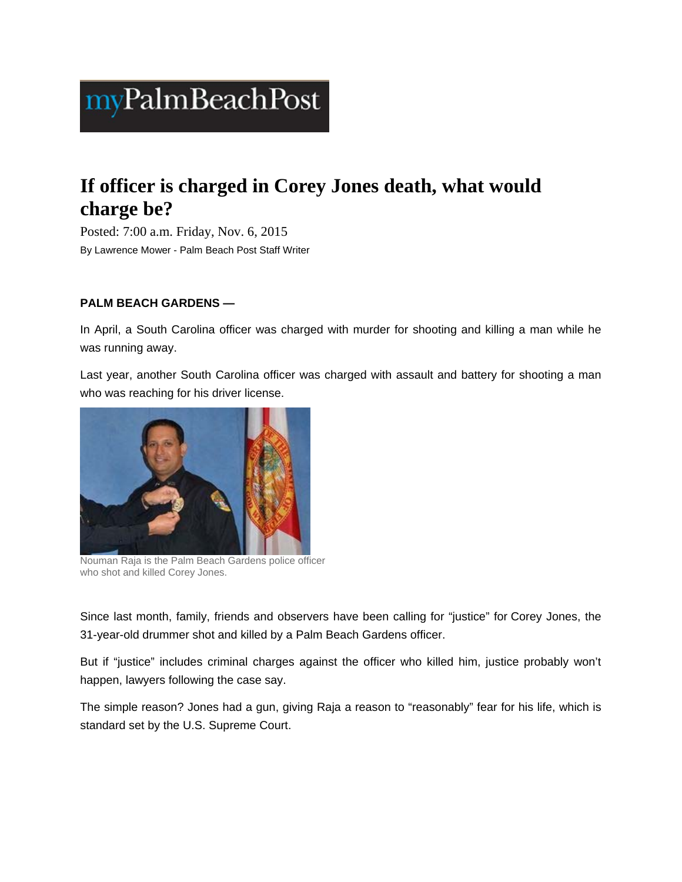# myPalmBeachPost

# **If officer is charged in Corey Jones death, what would charge be?**

Posted: 7:00 a.m. Friday, Nov. 6, 2015 By Lawrence Mower - Palm Beach Post Staff Writer

## **PALM BEACH GARDENS —**

In April, a South Carolina officer was charged with murder for shooting and killing a man while he was running away.

Last year, another South Carolina officer was charged with assault and battery for shooting a man who was reaching for his driver license.



Nouman Raja is the Palm Beach Gardens police officer who shot and killed Corey Jones.

Since last month, family, friends and observers have been calling for "justice" for Corey Jones, the 31-year-old drummer shot and killed by a Palm Beach Gardens officer.

But if "justice" includes criminal charges against the officer who killed him, justice probably won't happen, lawyers following the case say.

The simple reason? Jones had a gun, giving Raja a reason to "reasonably" fear for his life, which is standard set by the U.S. Supreme Court.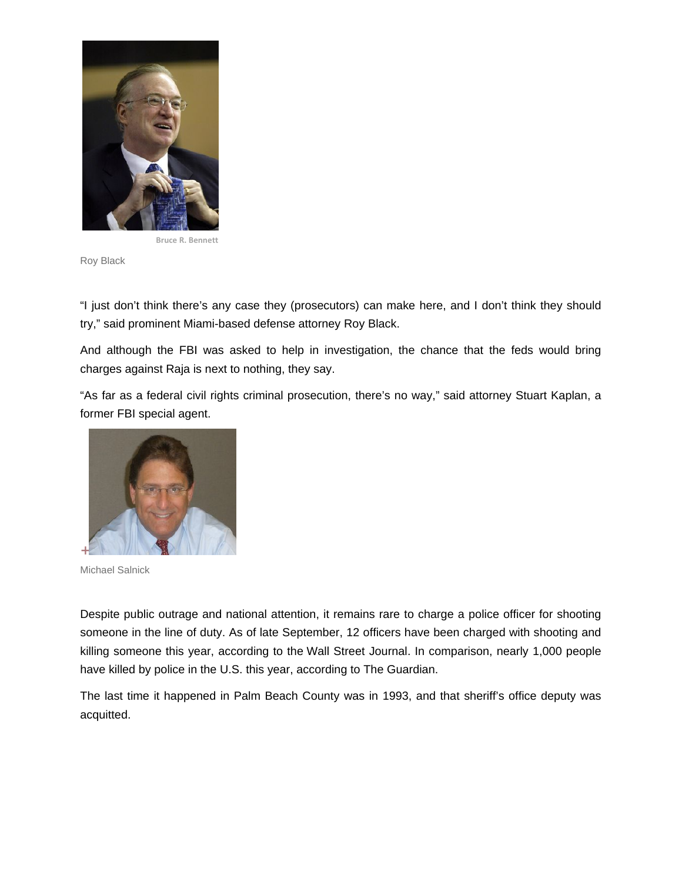

**Bruce R. Bennett**

Roy Black

"I just don't think there's any case they (prosecutors) can make here, and I don't think they should try," said prominent Miami-based defense attorney Roy Black.

And although the FBI was asked to help in investigation, the chance that the feds would bring charges against Raja is next to nothing, they say.

"As far as a federal civil rights criminal prosecution, there's no way," said attorney Stuart Kaplan, a former FBI special agent.



Michael Salnick

Despite public outrage and national attention, it remains rare to charge a police officer for shooting someone in the line of duty. As of late September, 12 officers have been charged with shooting and killing someone this year, according to the Wall Street Journal. In comparison, nearly 1,000 people have killed by police in the U.S. this year, according to The Guardian.

The last time it happened in Palm Beach County was in 1993, and that sheriff's office deputy was acquitted.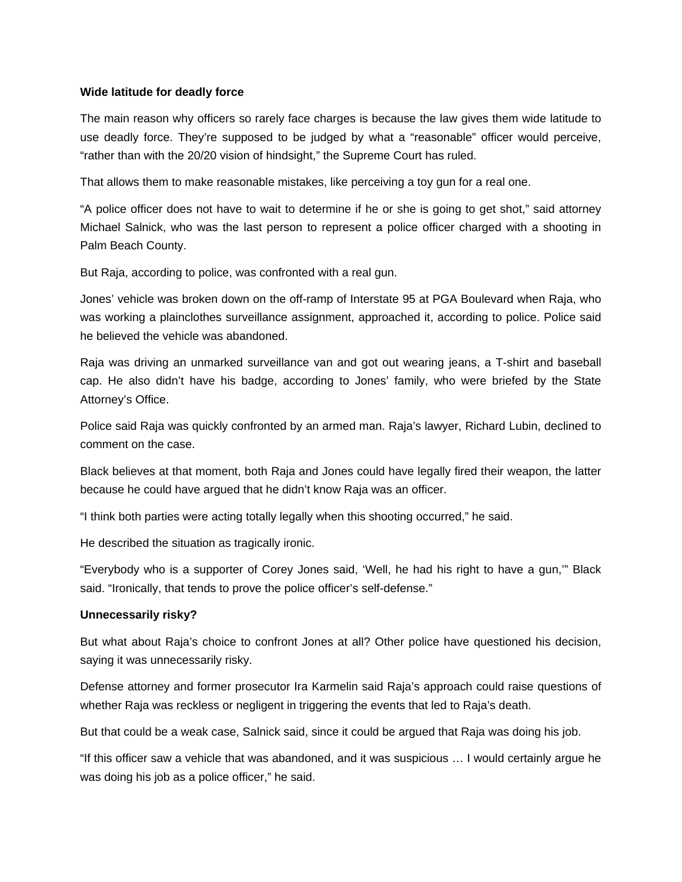### **Wide latitude for deadly force**

The main reason why officers so rarely face charges is because the law gives them wide latitude to use deadly force. They're supposed to be judged by what a "reasonable" officer would perceive, "rather than with the 20/20 vision of hindsight," the Supreme Court has ruled.

That allows them to make reasonable mistakes, like perceiving a toy gun for a real one.

"A police officer does not have to wait to determine if he or she is going to get shot," said attorney Michael Salnick, who was the last person to represent a police officer charged with a shooting in Palm Beach County.

But Raja, according to police, was confronted with a real gun.

Jones' vehicle was broken down on the off-ramp of Interstate 95 at PGA Boulevard when Raja, who was working a plainclothes surveillance assignment, approached it, according to police. Police said he believed the vehicle was abandoned.

Raja was driving an unmarked surveillance van and got out wearing jeans, a T-shirt and baseball cap. He also didn't have his badge, according to Jones' family, who were briefed by the State Attorney's Office.

Police said Raja was quickly confronted by an armed man. Raja's lawyer, Richard Lubin, declined to comment on the case.

Black believes at that moment, both Raja and Jones could have legally fired their weapon, the latter because he could have argued that he didn't know Raja was an officer.

"I think both parties were acting totally legally when this shooting occurred," he said.

He described the situation as tragically ironic.

"Everybody who is a supporter of Corey Jones said, 'Well, he had his right to have a gun,'" Black said. "Ironically, that tends to prove the police officer's self-defense."

#### **Unnecessarily risky?**

But what about Raja's choice to confront Jones at all? Other police have questioned his decision, saying it was unnecessarily risky.

Defense attorney and former prosecutor Ira Karmelin said Raja's approach could raise questions of whether Raja was reckless or negligent in triggering the events that led to Raja's death.

But that could be a weak case, Salnick said, since it could be argued that Raja was doing his job.

"If this officer saw a vehicle that was abandoned, and it was suspicious … I would certainly argue he was doing his job as a police officer," he said.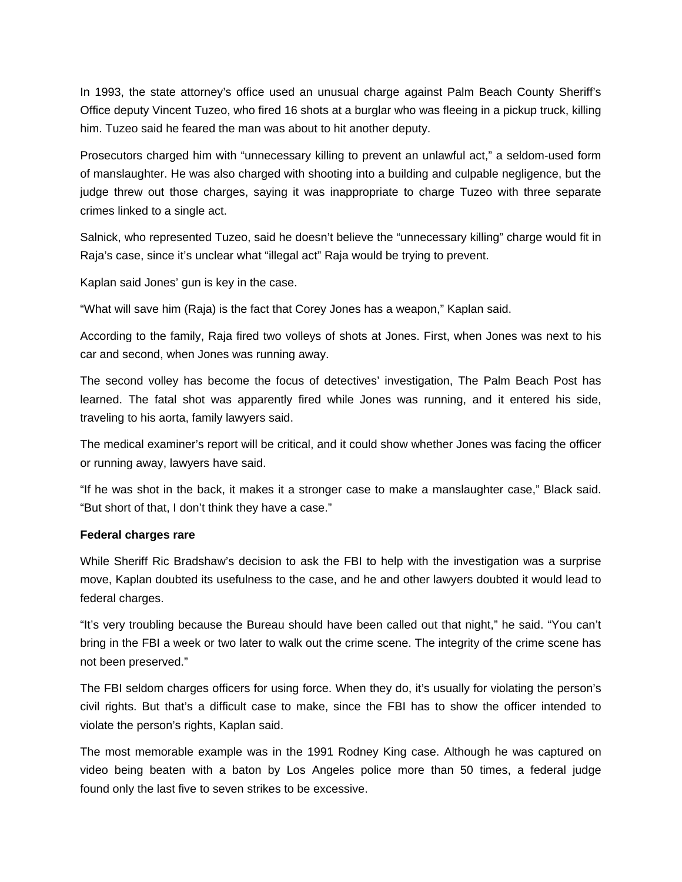In 1993, the state attorney's office used an unusual charge against Palm Beach County Sheriff's Office deputy Vincent Tuzeo, who fired 16 shots at a burglar who was fleeing in a pickup truck, killing him. Tuzeo said he feared the man was about to hit another deputy.

Prosecutors charged him with "unnecessary killing to prevent an unlawful act," a seldom-used form of manslaughter. He was also charged with shooting into a building and culpable negligence, but the judge threw out those charges, saying it was inappropriate to charge Tuzeo with three separate crimes linked to a single act.

Salnick, who represented Tuzeo, said he doesn't believe the "unnecessary killing" charge would fit in Raja's case, since it's unclear what "illegal act" Raja would be trying to prevent.

Kaplan said Jones' gun is key in the case.

"What will save him (Raja) is the fact that Corey Jones has a weapon," Kaplan said.

According to the family, Raja fired two volleys of shots at Jones. First, when Jones was next to his car and second, when Jones was running away.

The second volley has become the focus of detectives' investigation, The Palm Beach Post has learned. The fatal shot was apparently fired while Jones was running, and it entered his side, traveling to his aorta, family lawyers said.

The medical examiner's report will be critical, and it could show whether Jones was facing the officer or running away, lawyers have said.

"If he was shot in the back, it makes it a stronger case to make a manslaughter case," Black said. "But short of that, I don't think they have a case."

#### **Federal charges rare**

While Sheriff Ric Bradshaw's decision to ask the FBI to help with the investigation was a surprise move, Kaplan doubted its usefulness to the case, and he and other lawyers doubted it would lead to federal charges.

"It's very troubling because the Bureau should have been called out that night," he said. "You can't bring in the FBI a week or two later to walk out the crime scene. The integrity of the crime scene has not been preserved."

The FBI seldom charges officers for using force. When they do, it's usually for violating the person's civil rights. But that's a difficult case to make, since the FBI has to show the officer intended to violate the person's rights, Kaplan said.

The most memorable example was in the 1991 Rodney King case. Although he was captured on video being beaten with a baton by Los Angeles police more than 50 times, a federal judge found only the last five to seven strikes to be excessive.